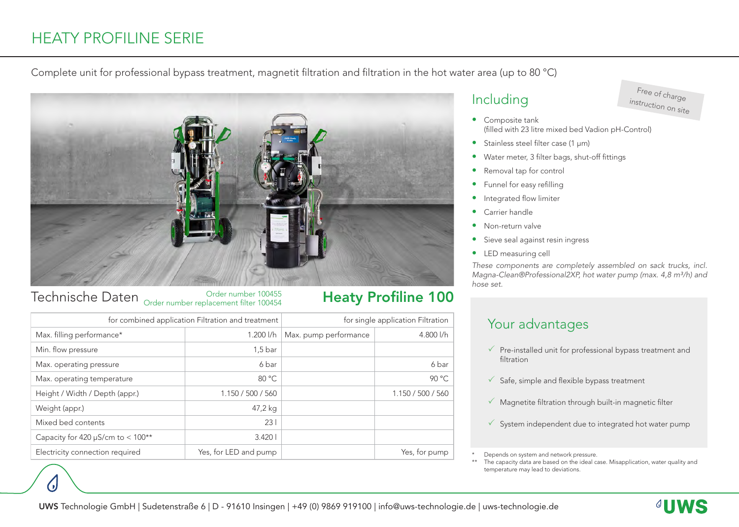# HEATY PROFILINE SERIE

#### Complete unit for professional bypass treatment, magnetit filtration and filtration in the hot water area (up to 80 °C)



#### Technische Daten Order number 100455 Order number replacement filter 100454

| for combined application Filtration and treatment |                       | for single application Filtration |                   |
|---------------------------------------------------|-----------------------|-----------------------------------|-------------------|
| Max. filling performance*                         | $1.200$ $1/h$         | Max. pump performance             | 4.800 l/h         |
| Min. flow pressure                                | $1,5$ bar             |                                   |                   |
| Max. operating pressure                           | 6 bar                 |                                   | 6 bar             |
| Max. operating temperature                        | 80 °C                 |                                   | 90 °C             |
| Height / Width / Depth (appr.)                    | 1.150 / 500 / 560     |                                   | 1.150 / 500 / 560 |
| Weight (appr.)                                    | 47,2 kg               |                                   |                   |
| Mixed bed contents                                | 231                   |                                   |                   |
| Capacity for 420 $\mu$ S/cm to < 100**            | 3.4201                |                                   |                   |
| Electricity connection required                   | Yes, for LED and pump |                                   | Yes, for pump     |

## Including

## Free of charge instruction on site

- Composite tank (filled with 23 litre mixed bed Vadion pH-Control)
- Stainless steel filter case (1 µm)
- Water meter, 3 filter bags, shut-off fittings
- Removal tap for control
- Funnel for easy refilling
- Integrated flow limiter
- Carrier handle
- Non-return valve
- Sieve seal against resin ingress
- LED measuring cell

*These components are completely assembled on sack trucks, incl. Magna-Clean®Professional2XP, hot water pump (max. 4,8 m<sup>3</sup>/h) and hose set.*

## Your advantages

- $\checkmark$  Pre-installed unit for professional bypass treatment and filtration
- $\checkmark$  Safe, simple and flexible bypass treatment
- $\checkmark$  Magnetite filtration through built-in magnetic filter
- $\checkmark$  System independent due to integrated hot water pump

Depends on system and network pressure.

The capacity data are based on the ideal case. Misapplication, water quality and temperature may lead to deviations.

Heaty Profiline 100